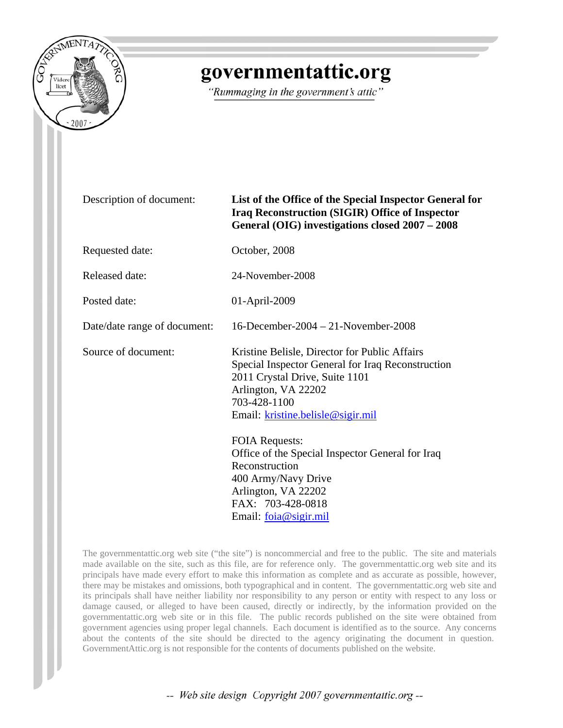

## governmentattic.org

"Rummaging in the government's attic"

| Description of document: |  |
|--------------------------|--|
|--------------------------|--|

## List of the Office of the Special Inspector General for **Iraq Reconstruction (SIGIR) Office of Inspector General (OIG) investigations closed 2007 – 2008**

Requested date: October, 2008

Released date: 24-November-2008

Posted date: 01-April-2009

Date/date range of document: 16-December-2004 – 21-November-2008

Source of document: Kristine Belisle, Director for Public Affairs Special Inspector General for Iraq Reconstruction 2011 Crystal Drive, Suite 1101 Arlington, VA 22202 703-428-1100 Email: [kristine.belisle@sigir.mil](mailto:kristine.belisle@sigir.mil)

> FOIA Requests: Office of the Special Inspector General for Iraq Reconstruction 400 Army/Navy Drive Arlington, VA 22202 FAX: 703-428-0818 Email: [foia@sigir.mil](mailto:foia@sigir.mil)

The governmentattic.org web site ("the site") is noncommercial and free to the public. The site and materials made available on the site, such as this file, are for reference only. The governmentattic.org web site and its principals have made every effort to make this information as complete and as accurate as possible, however, there may be mistakes and omissions, both typographical and in content. The governmentattic.org web site and its principals shall have neither liability nor responsibility to any person or entity with respect to any loss or damage caused, or alleged to have been caused, directly or indirectly, by the information provided on the governmentattic.org web site or in this file. The public records published on the site were obtained from government agencies using proper legal channels. Each document is identified as to the source. Any concerns about the contents of the site should be directed to the agency originating the document in question. GovernmentAttic.org is not responsible for the contents of documents published on the website.

-- Web site design Copyright 2007 governmentattic.org --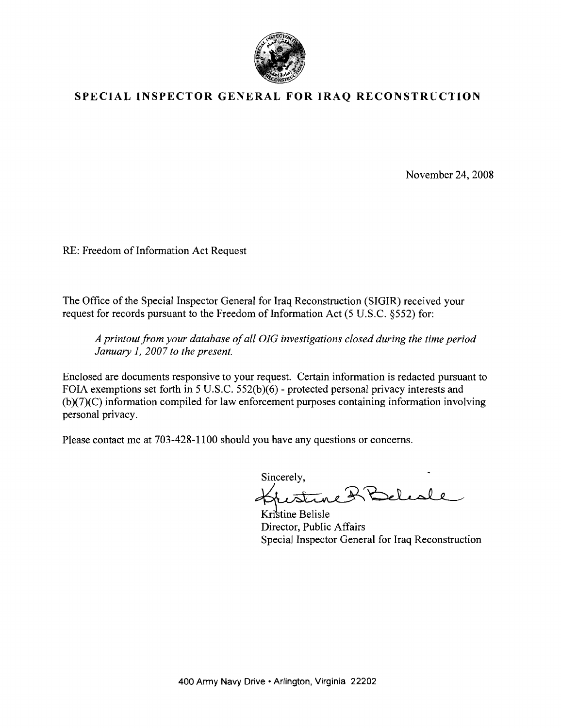

## **SPECIAL INSPECTOR GENERAL FOR IRAQ RECONSTRUCTION**

November 24, 2008

RE: Freedom of Information Act Request

The Office of the Special Inspector General for Iraq Reconstruction (SIGIR) received your request for records pursuant to the Freedom of Information Act (5 U.S.C. §552) for:

*A printout from your database of all OIG investigations closed during the time period January* 1, *2007 to the present.* 

Enclosed are documents responsive to your request. Certain information is redacted pursuant to FOIA exemptions set forth in 5 U.S.C. 552(b)(6) - protected personal privacy interests and  $(b)(7)(C)$  information compiled for law enforcement purposes containing information involving personal privacy.

Please contact me at 703-428-1100 should you have any questions or concerns.

Sincerely,

Kristine Belisle Director, Public Affairs Special Inspector General for Iraq Reconstruction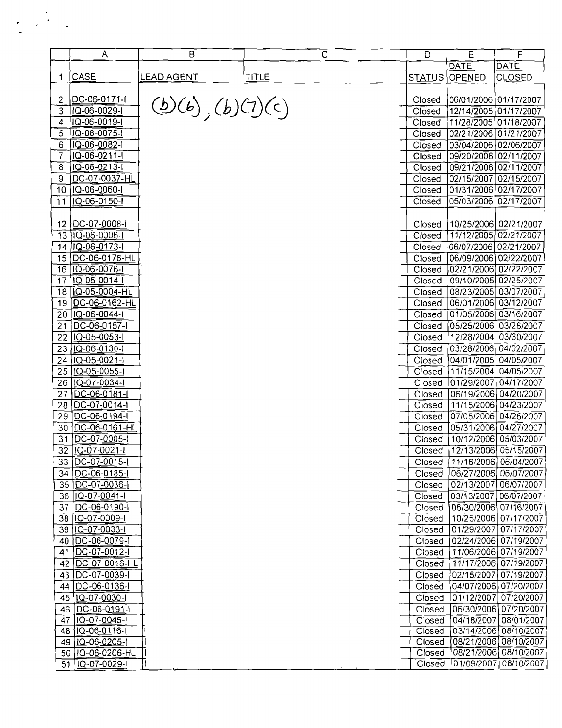|                 | $\overline{A}$             | в                 | C            | D      | E                     | F                       |
|-----------------|----------------------------|-------------------|--------------|--------|-----------------------|-------------------------|
|                 |                            |                   |              |        | <b>DATE</b>           | <b>DATE</b>             |
| 1               | <b>CASE</b>                | <u>LEAD AGENT</u> | <b>TITLE</b> |        | <b>STATUS OPENED</b>  | <b>CLOSED</b>           |
|                 |                            |                   |              |        |                       |                         |
| 2               | DC-06-0171-I               |                   |              | Closed | 06/01/2006 01/17/2007 |                         |
| 3               | IQ-06-0029-I               | (b)(b), (b)(7)(c) |              | Closed |                       | 12/14/2005 01/17/2007   |
| 4               | IQ-06-0019-I               |                   |              | Closed |                       | 11/28/2005 01/18/2007   |
| 5               | IQ-06-0075-I               |                   |              | Closed |                       | 02/21/2006 01/21/2007   |
| 6               | IQ-06-0082-I               |                   |              | Closed |                       | 03/04/2006 02/06/2007   |
| 7               | IQ-06-0211-I               |                   |              | Closed | 09/20/2006 02/11/2007 |                         |
| 8               | IQ-06-0213-I               |                   |              | Closed |                       | 09/21/2006 02/11/2007   |
| 9               | DC-07-0037-HL              |                   |              | Closed |                       | 02/15/2007 02/15/2007   |
| 10              | IQ-06-0060-I               |                   |              | Closed |                       | 01/31/2006 02/17/2007   |
| 11              | IQ-06-0150-I               |                   |              | Closed | 05/03/2006            | 02/17/2007              |
|                 |                            |                   |              |        |                       |                         |
|                 | 12   DC-07-0008-1          |                   |              | Closed |                       | 10/25/2006 02/21/2007   |
|                 | 13 IQ-06-0006-I            |                   |              | Closed |                       | 11/12/2005 02/21/2007   |
| 14              | IQ-06-0173-I               |                   |              | Closed |                       | 06/07/2006 02/21/2007   |
| 15              | DC-06-0176-HL              |                   |              | Closed |                       | 06/09/2006 02/22/2007   |
| 16              | IQ-06-0076-I               |                   |              | Closed | 02/21/2006            | 02/22/2007              |
| 17              | IQ-05-0014-I               |                   |              | Closed | 09/10/2005            | 02/25/2007              |
| 18              | IQ-05-0004-HL              |                   |              | Closed |                       | 08/23/2005 03/07/2007   |
| 19              | DC-06-0162-HL              |                   |              | Closed | 06/01/2006            | 03/12/2007              |
| 20              | $ IQ-06-0044-1$            |                   |              | Closed | 01/05/2006            | 03/16/2007              |
|                 |                            |                   |              | Closed |                       | 05/25/2006 03/28/2007   |
| 21              | DC-06-0157-1               |                   |              |        |                       |                         |
| 22              | IQ-05-0053-I               |                   |              | Closed |                       | 12/28/2004 03/30/2007   |
| 23              | IQ-06-0130-1               |                   |              | Closed |                       | 03/28/2006 04/02/2007   |
| $2\overline{4}$ | IQ-05-0021-I               |                   |              | Closed |                       | 04/01/2005 04/05/2007   |
| 25              | IQ-05-0055-I               |                   |              | Closed |                       | 11/15/2004 04/05/2007   |
|                 | 26   IQ-07-0034-I          |                   |              | Closed |                       | 01/29/2007 04/17/2007   |
| 27              | DC-06-0181-                |                   |              | Closed |                       | 06/19/2006 04/20/2007   |
|                 | 28 DC-07-0014-             |                   |              | Closed |                       | 11/15/2006 04/23/2007   |
|                 | 29 DC-06-0194-1            |                   |              | Closed |                       | 07/05/2006 04/26/2007   |
|                 | 30 DC-06-0161-HL           |                   |              | Closed |                       | 05/31/2006 04/27/2007   |
| 31              | DC-07-0005-                |                   |              | Closed | 10/12/2006            | 05/03/2007              |
| 32              | IQ-07-0021-I               |                   |              | Closed | 12/13/2006            | 05/15/2007              |
|                 | 33 IDC-07-0015-            |                   |              | Closed |                       | 11/16/2006   06/04/2007 |
|                 | 34   DC-06-0185-1          |                   |              | Closed | 06/27/2006            | 06/07/2007              |
|                 | 35   DC-07-0036-1          |                   |              | Closed | 02/13/2007            | 06/07/2007              |
|                 | 36   Q-07-0041-1           |                   |              | Closed | 03/13/2007            | 06/07/2007              |
| 37              | DC-06-0 <u>190-</u> 1      |                   |              | Closed |                       | 06/30/2006 07/16/2007   |
|                 | 38 (IQ-07-0009-1)          |                   |              | Closed |                       | 10/25/2006 07/17/2007   |
|                 | 39 (IQ-07-0033-1)          |                   |              | Closed |                       | 01/29/2007 07/17/2007   |
| 40              | DC-06-0079-l               |                   |              | Closed |                       | 02/24/2006 07/19/2007   |
| 41              | DC-07-0012-                |                   |              | Closed |                       | 11/06/2006 07/19/2007   |
| 42              | DC-07-0016-HL              |                   |              | Closed |                       | 11/17/2006 07/19/2007   |
| 43              | DC-07-0039-                |                   |              | Closed |                       | 02/15/2007 07/19/2007   |
| 44              | DC-06-0136-1               |                   |              | Closed |                       | 04/07/2006 07/20/2007   |
|                 | 45 1Q-07-0030-1            |                   |              | Closed | 01/12/2007            | 07/20/2007              |
| 46              | $[DC-06-0191-1]$           |                   |              | Closed |                       | 06/30/2006 07/20/2007   |
| 47              | $\overline{11Q-07-0045-1}$ |                   |              | Closed | 04/18/2007            | 08/01/2007              |
|                 | 48 1Q-06-0116-1            |                   |              | Closed |                       | 03/14/2006 08/10/2007   |
|                 | 49 1Q-06-0205-1            |                   |              | Closed |                       | 08/21/2006 08/10/2007   |
|                 | 50 1Q-06-0206-HL           |                   |              | Closed |                       | 08/21/2006 08/10/2007   |
|                 | 51 IQ-07-0029-             |                   |              | Closed |                       | 01/09/2007 08/10/2007   |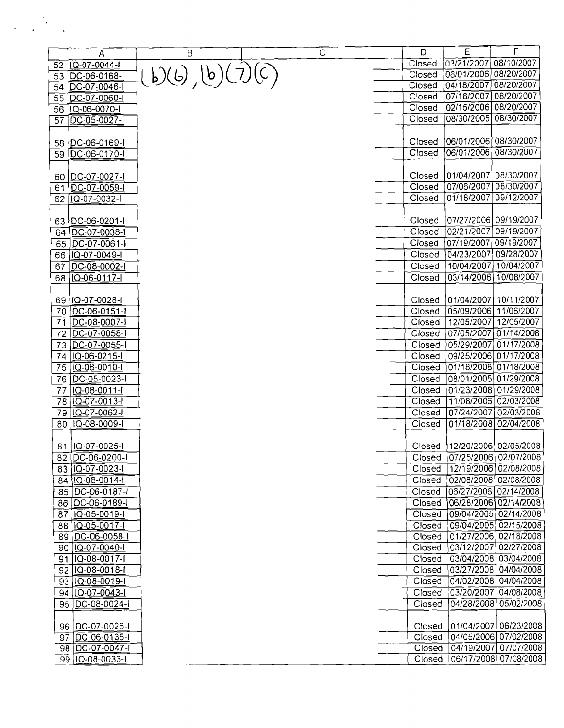|          | A                          | B            | C | D      | E                     | F                       |
|----------|----------------------------|--------------|---|--------|-----------------------|-------------------------|
|          | 52   IQ-07-0044-           |              |   | Closed | 03/21/2007 08/10/2007 |                         |
| 53       | DC-06-0168-I               | (b)(b)(7)(c) |   | Closed | 06/01/2006 08/20/2007 |                         |
| 54       | DC-07-0046-                |              |   | Closed | 04/18/2007            | 08/20/2007              |
| 55       | DC-07-0060-I               |              |   | Closed | 07/16/2007            | 08/20/2007              |
|          | 56 0-06-0070-              |              |   | Closed | 02/15/2006            | 08/20/2007              |
| 57       | DC-05-0027-I               |              |   | Closed | 08/30/2005            | 08/30/2007              |
|          |                            |              |   |        |                       |                         |
| 58       | DC-06-0169-1               |              |   | Closed | 06/01/2006 08/30/2007 |                         |
| 59       | DC-06-0170-I               |              |   | Closed | 06/01/2006            | 08/30/2007              |
|          |                            |              |   |        |                       |                         |
|          | DC-07-0027-I               |              |   | Closed |                       |                         |
| 60<br>61 | DC-07-0059-I               |              |   | Closed | 07/06/2007            | 08/30/2007              |
| 62       | IQ-07-0032-I               |              |   | Closed | 01/18/2007            | 09/12/2007              |
|          |                            |              |   |        |                       |                         |
|          | 63 <u>DC-06-0201-l</u>     |              |   | Closed |                       | 07/27/2006  09/19/2007  |
| 64       | DC-07-0038-I               |              |   | Closed | 02/21/2007            | 09/19/2007              |
| 65       | DC-07-0061-l               |              |   | Closed | 07/19/2007            | 09/19/2007              |
| 66       | IQ-07-0049-1               |              |   | Closed | 04/23/2007            | 09/28/2007              |
|          | DC-08-0002-I               |              |   | Closed | 10/04/2007            | 10/04/2007              |
| 67       |                            |              |   |        | 03/14/2006            | 10/08/2007              |
| 68       | IQ-06-0117-I               |              |   | Closed |                       |                         |
|          |                            |              |   |        |                       |                         |
|          | 69   IQ-07-0028-I          |              |   | Closed |                       | 01/04/2007   10/11/2007 |
|          | 70   DC-06-0151-1          |              |   | Closed |                       | 05/09/2006 11/06/2007   |
| 71       | DC-08-0007-1               |              |   | Closed |                       | 12/05/2007 12/05/2007   |
|          | 72   DC-07-0058-1          |              |   | Closed | 07/05/2007            | 01/14/2008              |
|          | 73 DC-07-0055-I            |              |   | Closed | 05/29/2007            | 01/17/2008              |
| 74       | IQ-06-0215-I               |              |   | Closed |                       | 09/25/2006 01/17/2008   |
| 75       | LQ-08-0010-I               |              |   | Closed |                       | 01/18/2008 01/18/2008   |
| 76       | DC-05-0023-I               |              |   | Closed |                       | 08/01/2005 01/29/2008   |
| 77       | IQ-08-0011-I               |              |   | Closed | 01/23/2008            | 01/29/2008              |
| 78       | IQ-07-0013-                |              |   | Closed | 11/08/2006            | 02/03/2008              |
| 79       | IQ-07-0062-I               |              |   | Closed | 07/24/2007            | 02/03/2008              |
| 80       | $\overline{1Q}$ -08-0009-I |              |   | Closed |                       | 01/18/2008 02/04/2008   |
|          |                            |              |   |        |                       |                         |
| 81       | IQ-07-0025-I               |              |   | Closed |                       | 12/20/2006 02/05/2008   |
|          | 82 DC-06-0200-I            |              |   | Closed |                       | 07/25/2006 02/07/2008   |
| 83       | IQ-07-0023-I               |              |   | Closed |                       | 12/19/2006 02/08/2008   |
|          | 84 1Q-08-0014-1            |              |   | Closed |                       | 02/08/2008 02/08/2008   |
| 85       | DC-06-0187-                |              |   | Closed |                       | 06/27/2006 02/14/2008   |
|          | 86 DC-06-0189-             |              |   | Closed |                       | 06/28/2006 02/14/2008   |
| 87       | IQ-05-0019-I               |              |   | Closed |                       | 09/04/2005 02/14/2008   |
|          | 88 1Q-05-0017-1            |              |   | Closed |                       | 09/04/2005 02/15/2008   |
|          | 89 DC-06-0058-I            |              |   | Closed |                       | 01/27/2006 02/18/2008   |
|          | 90 (IQ-07-0040-1           |              |   | Closed |                       | 03/12/2007 02/27/2008   |
|          | 91   1Q-08-0017-1          |              |   | Closed |                       | 03/04/2008 03/04/2008   |
| 92       | 1Q-08-0018-1               |              |   | Closed |                       | 03/27/2008 04/04/2008   |
| 93       | $ 1Q-08-0019-1 $           |              |   | Closed |                       | 04/02/2008 04/04/2008   |
| 94       | $ IQ-07-0043-1$            |              |   | Closed | 03/20/2007            | 04/08/2008              |
|          | 95   DC-08-0024-           |              |   | Closed |                       | 04/28/2008 05/02/2008   |
|          |                            |              |   |        |                       |                         |
|          | 96   DC-07-0026-1          |              |   | Closed | 01/04/2007            | 06/23/2008              |
|          | 97   DC-06-0135-I          |              |   | Closed |                       | 04/05/2006 07/02/2008   |
|          | 98 DC-07-0047-1            |              |   | Closed |                       | 04/19/2007 07/07/2008   |
|          | 99 1Q-08-0033-1            |              |   | Closed |                       | 06/17/2008 07/08/2008   |

 $\overline{a}$